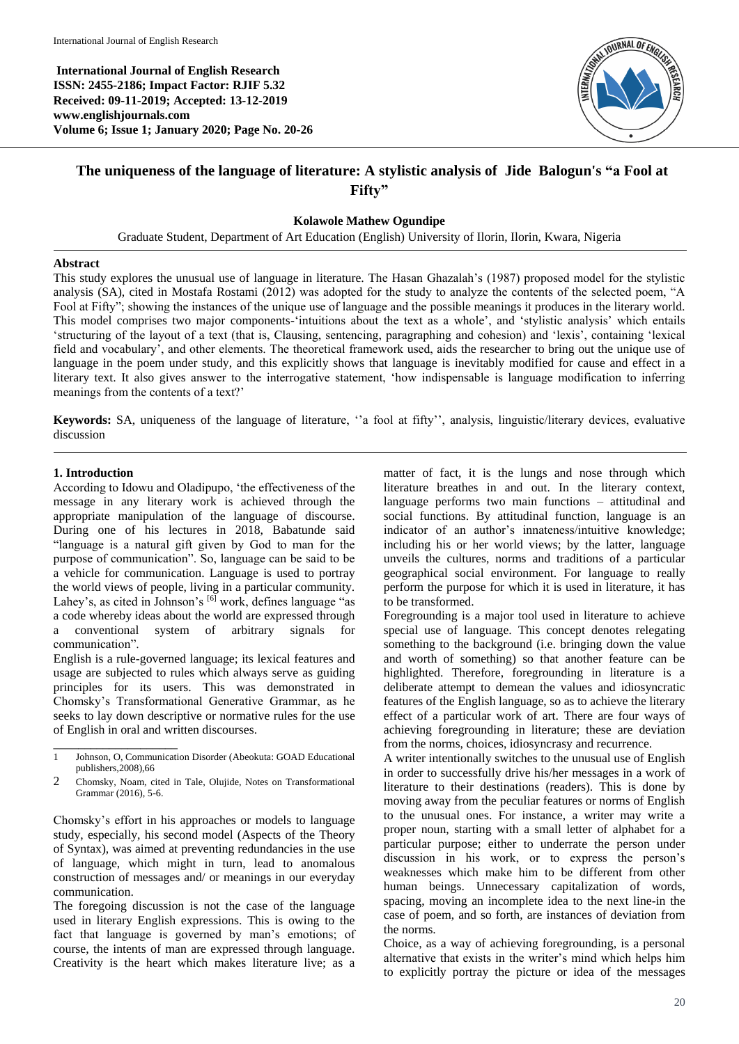**International Journal of English Research ISSN: 2455-2186; Impact Factor: RJIF 5.32 Received: 09-11-2019; Accepted: 13-12-2019 www.englishjournals.com Volume 6; Issue 1; January 2020; Page No. 20-26**



# **The uniqueness of the language of literature: A stylistic analysis of Jide Balogun's "a Fool at Fifty"**

**Kolawole Mathew Ogundipe**

Graduate Student, Department of Art Education (English) University of Ilorin, Ilorin, Kwara, Nigeria

# **Abstract**

This study explores the unusual use of language in literature. The Hasan Ghazalah's (1987) proposed model for the stylistic analysis (SA), cited in Mostafa Rostami (2012) was adopted for the study to analyze the contents of the selected poem, "A Fool at Fifty"; showing the instances of the unique use of language and the possible meanings it produces in the literary world. This model comprises two major components-'intuitions about the text as a whole', and 'stylistic analysis' which entails 'structuring of the layout of a text (that is, Clausing, sentencing, paragraphing and cohesion) and 'lexis', containing 'lexical field and vocabulary', and other elements. The theoretical framework used, aids the researcher to bring out the unique use of language in the poem under study, and this explicitly shows that language is inevitably modified for cause and effect in a literary text. It also gives answer to the interrogative statement, 'how indispensable is language modification to inferring meanings from the contents of a text?'

**Keywords:** SA, uniqueness of the language of literature, ''a fool at fifty'', analysis, linguistic/literary devices, evaluative discussion

# **1. Introduction**

\_\_\_\_\_\_\_\_\_\_\_\_\_\_\_\_\_\_\_\_

According to Idowu and Oladipupo, 'the effectiveness of the message in any literary work is achieved through the appropriate manipulation of the language of discourse. During one of his lectures in 2018, Babatunde said "language is a natural gift given by God to man for the purpose of communication". So, language can be said to be a vehicle for communication. Language is used to portray the world views of people, living in a particular community. Lahey's, as cited in Johnson's [6] work, defines language "as a code whereby ideas about the world are expressed through a conventional system of arbitrary signals for communication".

English is a rule-governed language; its lexical features and usage are subjected to rules which always serve as guiding principles for its users. This was demonstrated in Chomsky's Transformational Generative Grammar, as he seeks to lay down descriptive or normative rules for the use of English in oral and written discourses.

Chomsky's effort in his approaches or models to language study, especially, his second model (Aspects of the Theory of Syntax), was aimed at preventing redundancies in the use of language, which might in turn, lead to anomalous construction of messages and/ or meanings in our everyday communication.

The foregoing discussion is not the case of the language used in literary English expressions. This is owing to the fact that language is governed by man's emotions; of course, the intents of man are expressed through language. Creativity is the heart which makes literature live; as a

matter of fact, it is the lungs and nose through which literature breathes in and out. In the literary context, language performs two main functions – attitudinal and social functions. By attitudinal function, language is an indicator of an author's innateness/intuitive knowledge; including his or her world views; by the latter, language unveils the cultures, norms and traditions of a particular geographical social environment. For language to really perform the purpose for which it is used in literature, it has to be transformed.

Foregrounding is a major tool used in literature to achieve special use of language. This concept denotes relegating something to the background (i.e. bringing down the value and worth of something) so that another feature can be highlighted. Therefore, foregrounding in literature is a deliberate attempt to demean the values and idiosyncratic features of the English language, so as to achieve the literary effect of a particular work of art. There are four ways of achieving foregrounding in literature; these are deviation from the norms, choices, idiosyncrasy and recurrence.

A writer intentionally switches to the unusual use of English in order to successfully drive his/her messages in a work of literature to their destinations (readers). This is done by moving away from the peculiar features or norms of English to the unusual ones. For instance, a writer may write a proper noun, starting with a small letter of alphabet for a particular purpose; either to underrate the person under discussion in his work, or to express the person's weaknesses which make him to be different from other human beings. Unnecessary capitalization of words, spacing, moving an incomplete idea to the next line-in the case of poem, and so forth, are instances of deviation from the norms.

Choice, as a way of achieving foregrounding, is a personal alternative that exists in the writer's mind which helps him to explicitly portray the picture or idea of the messages

<sup>1</sup> Johnson, O, Communication Disorder (Abeokuta: GOAD Educational publishers,2008),66

<sup>2</sup> Chomsky, Noam, cited in Tale, Olujide, Notes on Transformational Grammar (2016), 5-6.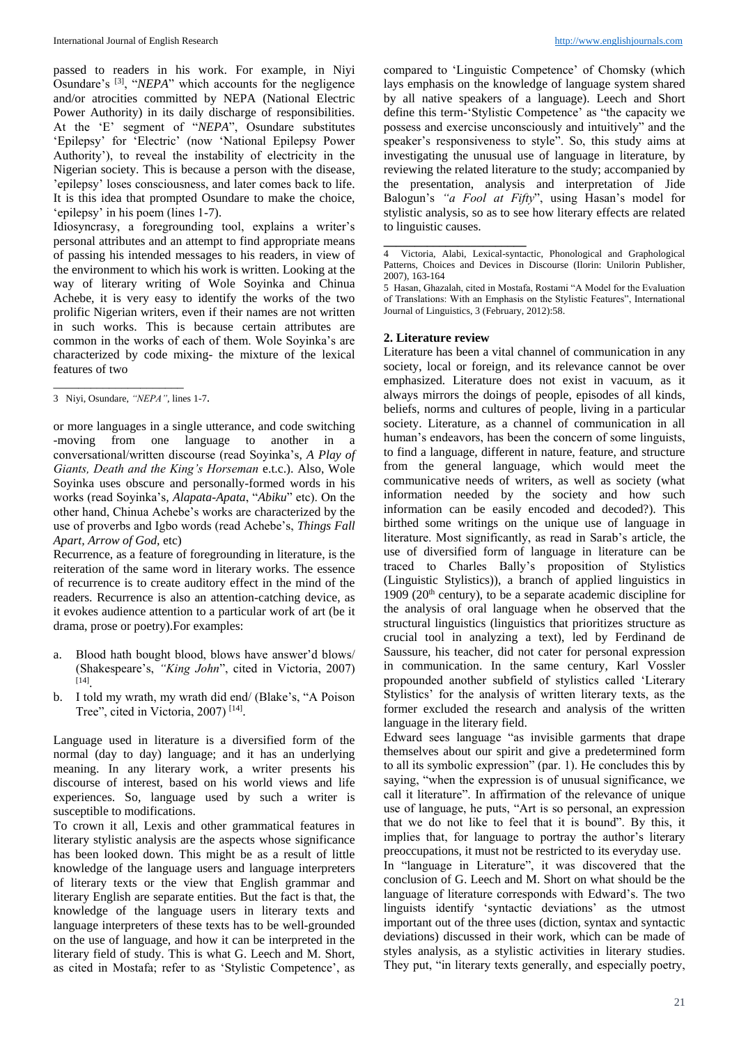passed to readers in his work. For example, in Niyi Osundare's <sup>[3]</sup>, "*NEPA*" which accounts for the negligence and/or atrocities committed by NEPA (National Electric Power Authority) in its daily discharge of responsibilities. At the 'E' segment of "*NEPA*", Osundare substitutes 'Epilepsy' for 'Electric' (now 'National Epilepsy Power Authority'), to reveal the instability of electricity in the Nigerian society. This is because a person with the disease, 'epilepsy' loses consciousness, and later comes back to life. It is this idea that prompted Osundare to make the choice, 'epilepsy' in his poem (lines 1-7).

Idiosyncrasy, a foregrounding tool, explains a writer's personal attributes and an attempt to find appropriate means of passing his intended messages to his readers, in view of the environment to which his work is written. Looking at the way of literary writing of Wole Soyinka and Chinua Achebe, it is very easy to identify the works of the two prolific Nigerian writers, even if their names are not written in such works. This is because certain attributes are common in the works of each of them. Wole Soyinka's are characterized by code mixing- the mixture of the lexical features of two

\_\_\_\_\_\_\_\_\_\_\_\_\_\_\_\_\_\_\_\_\_

or more languages in a single utterance, and code switching -moving from one language to another in a conversational/written discourse (read Soyinka's, *A Play of Giants, Death and the King's Horseman* e.t.c.). Also, Wole Soyinka uses obscure and personally-formed words in his works (read Soyinka's*, Alapata-Apata*, "*Abiku*" etc). On the other hand, Chinua Achebe's works are characterized by the use of proverbs and Igbo words (read Achebe's, *Things Fall Apart, Arrow of God,* etc)

Recurrence, as a feature of foregrounding in literature, is the reiteration of the same word in literary works. The essence of recurrence is to create auditory effect in the mind of the readers. Recurrence is also an attention-catching device, as it evokes audience attention to a particular work of art (be it drama, prose or poetry).For examples:

- a. Blood hath bought blood, blows have answer'd blows/ (Shakespeare's, *"King John*", cited in Victoria, 2007) [14] .
- b. I told my wrath, my wrath did end/ (Blake's, "A Poison Tree", cited in Victoria, 2007)<sup>[14]</sup>.

Language used in literature is a diversified form of the normal (day to day) language; and it has an underlying meaning. In any literary work, a writer presents his discourse of interest, based on his world views and life experiences. So, language used by such a writer is susceptible to modifications.

To crown it all, Lexis and other grammatical features in literary stylistic analysis are the aspects whose significance has been looked down. This might be as a result of little knowledge of the language users and language interpreters of literary texts or the view that English grammar and literary English are separate entities. But the fact is that, the knowledge of the language users in literary texts and language interpreters of these texts has to be well-grounded on the use of language, and how it can be interpreted in the literary field of study. This is what G. Leech and M. Short, as cited in Mostafa; refer to as 'Stylistic Competence', as

compared to 'Linguistic Competence' of Chomsky (which lays emphasis on the knowledge of language system shared by all native speakers of a language). Leech and Short define this term-'Stylistic Competence' as "the capacity we possess and exercise unconsciously and intuitively" and the speaker's responsiveness to style". So, this study aims at investigating the unusual use of language in literature, by reviewing the related literature to the study; accompanied by the presentation, analysis and interpretation of Jide Balogun's *"a Fool at Fifty*", using Hasan's model for stylistic analysis, so as to see how literary effects are related to linguistic causes.

# **2. Literature review**

**\_\_\_\_\_\_\_\_\_\_\_\_\_\_\_\_\_\_\_\_\_\_\_**

Literature has been a vital channel of communication in any society, local or foreign, and its relevance cannot be over emphasized. Literature does not exist in vacuum, as it always mirrors the doings of people, episodes of all kinds, beliefs, norms and cultures of people, living in a particular society. Literature, as a channel of communication in all human's endeavors, has been the concern of some linguists, to find a language, different in nature, feature, and structure from the general language, which would meet the communicative needs of writers, as well as society (what information needed by the society and how such information can be easily encoded and decoded?). This birthed some writings on the unique use of language in literature. Most significantly, as read in Sarab's article, the use of diversified form of language in literature can be traced to Charles Bally's proposition of Stylistics (Linguistic Stylistics)), a branch of applied linguistics in 1909 ( $20<sup>th</sup>$  century), to be a separate academic discipline for the analysis of oral language when he observed that the structural linguistics (linguistics that prioritizes structure as crucial tool in analyzing a text), led by Ferdinand de Saussure, his teacher, did not cater for personal expression in communication. In the same century, Karl Vossler propounded another subfield of stylistics called 'Literary Stylistics' for the analysis of written literary texts, as the former excluded the research and analysis of the written language in the literary field.

Edward sees language "as invisible garments that drape themselves about our spirit and give a predetermined form to all its symbolic expression" (par. 1). He concludes this by saying, "when the expression is of unusual significance, we call it literature". In affirmation of the relevance of unique use of language, he puts, "Art is so personal, an expression that we do not like to feel that it is bound". By this, it implies that, for language to portray the author's literary preoccupations, it must not be restricted to its everyday use. In "language in Literature", it was discovered that the conclusion of G. Leech and M. Short on what should be the language of literature corresponds with Edward's. The two linguists identify 'syntactic deviations' as the utmost important out of the three uses (diction, syntax and syntactic

deviations) discussed in their work, which can be made of styles analysis, as a stylistic activities in literary studies. They put, "in literary texts generally, and especially poetry,

<sup>3</sup> Niyi, Osundare, *"NEPA"*, lines 1-7.

<sup>4</sup> Victoria, Alabi, Lexical-syntactic, Phonological and Graphological Patterns, Choices and Devices in Discourse (Ilorin: Unilorin Publisher, 2007), 163-164

<sup>5</sup> Hasan, Ghazalah, cited in Mostafa, Rostami "A Model for the Evaluation of Translations: With an Emphasis on the Stylistic Features", International Journal of Linguistics, 3 (February, 2012):58.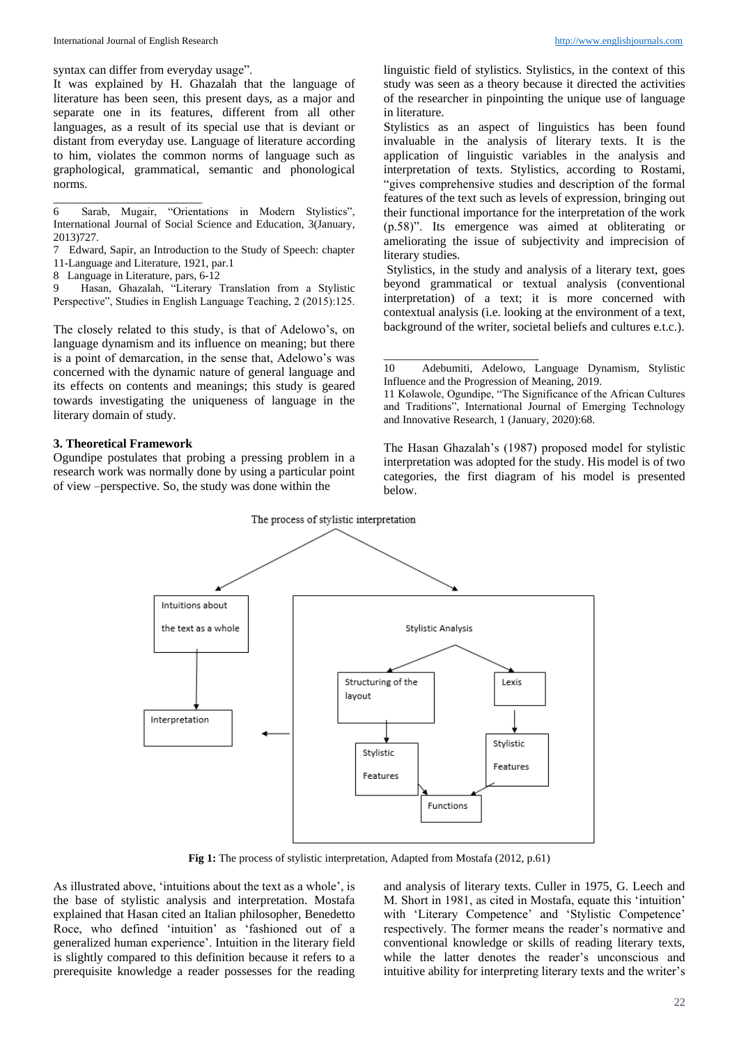syntax can differ from everyday usage".

It was explained by H. Ghazalah that the language of literature has been seen, this present days, as a major and separate one in its features, different from all other languages, as a result of its special use that is deviant or distant from everyday use. Language of literature according to him, violates the common norms of language such as graphological, grammatical, semantic and phonological norms.

8 Language in Literature, pars, 6-12

\_\_\_\_\_\_\_\_\_\_\_\_\_\_\_\_\_\_\_\_\_\_\_\_

Hasan, Ghazalah, "Literary Translation from a Stylistic Perspective", Studies in English Language Teaching, 2 (2015):125.

The closely related to this study, is that of Adelowo's, on language dynamism and its influence on meaning; but there is a point of demarcation, in the sense that, Adelowo's was concerned with the dynamic nature of general language and its effects on contents and meanings; this study is geared towards investigating the uniqueness of language in the literary domain of study.

#### **3. Theoretical Framework**

Ogundipe postulates that probing a pressing problem in a research work was normally done by using a particular point of view –perspective. So, the study was done within the

linguistic field of stylistics. Stylistics, in the context of this study was seen as a theory because it directed the activities of the researcher in pinpointing the unique use of language in literature.

Stylistics as an aspect of linguistics has been found invaluable in the analysis of literary texts. It is the application of linguistic variables in the analysis and interpretation of texts. Stylistics, according to Rostami, "gives comprehensive studies and description of the formal features of the text such as levels of expression, bringing out their functional importance for the interpretation of the work (p.58)". Its emergence was aimed at obliterating or ameliorating the issue of subjectivity and imprecision of literary studies.

Stylistics, in the study and analysis of a literary text, goes beyond grammatical or textual analysis (conventional interpretation) of a text; it is more concerned with contextual analysis (i.e. looking at the environment of a text, background of the writer, societal beliefs and cultures e.t.c.).

\_\_\_\_\_\_\_\_\_\_\_\_\_\_\_\_\_\_\_\_\_\_\_\_\_

The Hasan Ghazalah's (1987) proposed model for stylistic interpretation was adopted for the study. His model is of two categories, the first diagram of his model is presented below.



**Fig 1:** The process of stylistic interpretation, Adapted from Mostafa (2012, p.61)

As illustrated above, 'intuitions about the text as a whole', is the base of stylistic analysis and interpretation. Mostafa explained that Hasan cited an Italian philosopher, Benedetto Roce, who defined 'intuition' as 'fashioned out of a generalized human experience'. Intuition in the literary field is slightly compared to this definition because it refers to a prerequisite knowledge a reader possesses for the reading

and analysis of literary texts. Culler in 1975, G. Leech and M. Short in 1981, as cited in Mostafa, equate this 'intuition' with 'Literary Competence' and 'Stylistic Competence' respectively. The former means the reader's normative and conventional knowledge or skills of reading literary texts, while the latter denotes the reader's unconscious and intuitive ability for interpreting literary texts and the writer's

<sup>6</sup> Sarab, Mugair, "Orientations in Modern Stylistics", International Journal of Social Science and Education, 3(January, 2013)727.

<sup>7</sup> Edward, Sapir, an Introduction to the Study of Speech: chapter 11-Language and Literature, 1921, par.1

<sup>10</sup> Adebumiti, Adelowo, Language Dynamism, Stylistic Influence and the Progression of Meaning, 2019.

<sup>11</sup> Kolawole, Ogundipe, "The Significance of the African Cultures and Traditions", International Journal of Emerging Technology and Innovative Research, 1 (January, 2020):68.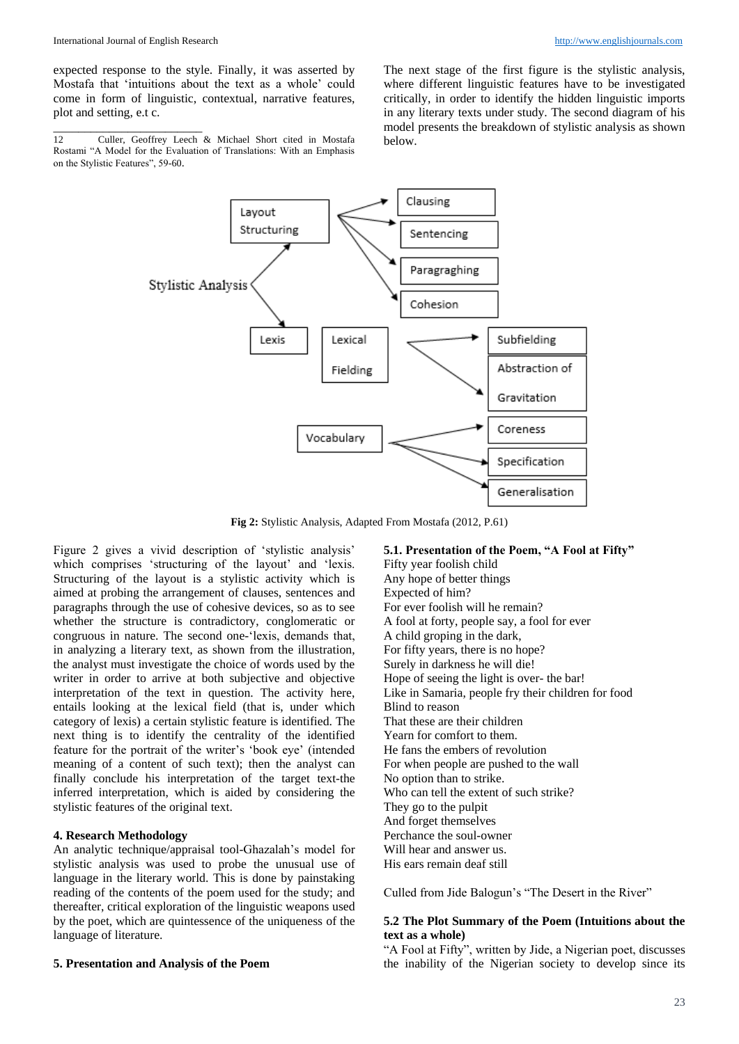\_\_\_\_\_\_\_\_\_\_\_\_\_\_\_\_\_\_\_\_\_\_\_\_

expected response to the style. Finally, it was asserted by Mostafa that 'intuitions about the text as a whole' could come in form of linguistic, contextual, narrative features, plot and setting, e.t c.

12 Culler, Geoffrey Leech & Michael Short cited in Mostafa Rostami "A Model for the Evaluation of Translations: With an Emphasis on the Stylistic Features", 59-60.

The next stage of the first figure is the stylistic analysis, where different linguistic features have to be investigated critically, in order to identify the hidden linguistic imports in any literary texts under study. The second diagram of his model presents the breakdown of stylistic analysis as shown below.



**Fig 2:** Stylistic Analysis, Adapted From Mostafa (2012, P.61)

Figure 2 gives a vivid description of 'stylistic analysis' which comprises 'structuring of the layout' and 'lexis. Structuring of the layout is a stylistic activity which is aimed at probing the arrangement of clauses, sentences and paragraphs through the use of cohesive devices, so as to see whether the structure is contradictory, conglomeratic or congruous in nature. The second one-'lexis, demands that, in analyzing a literary text, as shown from the illustration, the analyst must investigate the choice of words used by the writer in order to arrive at both subjective and objective interpretation of the text in question. The activity here, entails looking at the lexical field (that is, under which category of lexis) a certain stylistic feature is identified. The next thing is to identify the centrality of the identified feature for the portrait of the writer's 'book eye' (intended meaning of a content of such text); then the analyst can finally conclude his interpretation of the target text-the inferred interpretation, which is aided by considering the stylistic features of the original text.

# **4. Research Methodology**

An analytic technique/appraisal tool-Ghazalah's model for stylistic analysis was used to probe the unusual use of language in the literary world. This is done by painstaking reading of the contents of the poem used for the study; and thereafter, critical exploration of the linguistic weapons used by the poet, which are quintessence of the uniqueness of the language of literature.

#### **5. Presentation and Analysis of the Poem**

**5.1. Presentation of the Poem, "A Fool at Fifty"** Fifty year foolish child Any hope of better things Expected of him? For ever foolish will he remain? A fool at forty, people say, a fool for ever A child groping in the dark, For fifty years, there is no hope? Surely in darkness he will die! Hope of seeing the light is over- the bar! Like in Samaria, people fry their children for food Blind to reason That these are their children Yearn for comfort to them. He fans the embers of revolution For when people are pushed to the wall No option than to strike. Who can tell the extent of such strike? They go to the pulpit And forget themselves Perchance the soul-owner Will hear and answer us. His ears remain deaf still

# Culled from Jide Balogun's "The Desert in the River"

# **5.2 The Plot Summary of the Poem (Intuitions about the text as a whole)**

"A Fool at Fifty", written by Jide, a Nigerian poet, discusses the inability of the Nigerian society to develop since its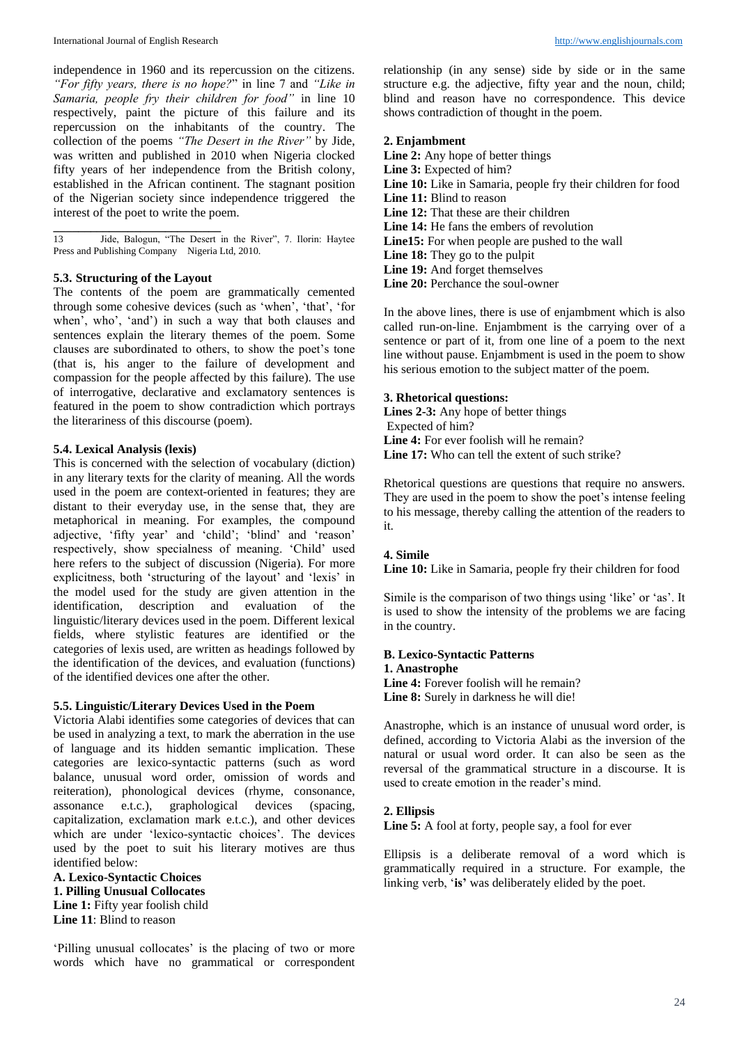independence in 1960 and its repercussion on the citizens. *"For fifty years, there is no hope?*" in line 7 and *"Like in Samaria, people fry their children for food"* in line 10 respectively, paint the picture of this failure and its repercussion on the inhabitants of the country. The collection of the poems *"The Desert in the River"* by Jide, was written and published in 2010 when Nigeria clocked fifty years of her independence from the British colony, established in the African continent. The stagnant position of the Nigerian society since independence triggered the interest of the poet to write the poem.

**\_\_\_\_\_\_\_\_\_\_\_\_\_\_\_\_\_\_\_\_\_\_\_\_\_\_\_** 13 Jide, Balogun, "The Desert in the River", 7. Ilorin: Haytee Press and Publishing Company Nigeria Ltd, 2010.

# **5.3. Structuring of the Layout**

The contents of the poem are grammatically cemented through some cohesive devices (such as 'when', 'that', 'for when', who', 'and') in such a way that both clauses and sentences explain the literary themes of the poem. Some clauses are subordinated to others, to show the poet's tone (that is, his anger to the failure of development and compassion for the people affected by this failure). The use of interrogative, declarative and exclamatory sentences is featured in the poem to show contradiction which portrays the literariness of this discourse (poem).

#### **5.4. Lexical Analysis (lexis)**

This is concerned with the selection of vocabulary (diction) in any literary texts for the clarity of meaning. All the words used in the poem are context-oriented in features; they are distant to their everyday use, in the sense that, they are metaphorical in meaning. For examples, the compound adjective, 'fifty year' and 'child'; 'blind' and 'reason' respectively, show specialness of meaning. 'Child' used here refers to the subject of discussion (Nigeria). For more explicitness, both 'structuring of the layout' and 'lexis' in the model used for the study are given attention in the identification, description and evaluation of the linguistic/literary devices used in the poem. Different lexical fields, where stylistic features are identified or the categories of lexis used, are written as headings followed by the identification of the devices, and evaluation (functions) of the identified devices one after the other.

#### **5.5. Linguistic/Literary Devices Used in the Poem**

Victoria Alabi identifies some categories of devices that can be used in analyzing a text, to mark the aberration in the use of language and its hidden semantic implication. These categories are lexico-syntactic patterns (such as word balance, unusual word order, omission of words and reiteration), phonological devices (rhyme, consonance, assonance e.t.c.), graphological devices (spacing, capitalization, exclamation mark e.t.c.), and other devices which are under 'lexico-syntactic choices'. The devices used by the poet to suit his literary motives are thus identified below:

**A. Lexico-Syntactic Choices 1. Pilling Unusual Collocates** Line 1: Fifty year foolish child **Line 11**: Blind to reason

relationship (in any sense) side by side or in the same structure e.g. the adjective, fifty year and the noun, child; blind and reason have no correspondence. This device shows contradiction of thought in the poem.

#### **2. Enjambment**

**Line 2:** Any hope of better things Line 3: Expected of him? Line 10: Like in Samaria, people fry their children for food **Line 11:** Blind to reason **Line 12:** That these are their children **Line 14:** He fans the embers of revolution **Line15:** For when people are pushed to the wall Line 18: They go to the pulpit Line 19: And forget themselves Line 20: Perchance the soul-owner

In the above lines, there is use of enjambment which is also called run-on-line. Enjambment is the carrying over of a sentence or part of it, from one line of a poem to the next line without pause. Enjambment is used in the poem to show his serious emotion to the subject matter of the poem.

#### **3. Rhetorical questions:**

**Lines 2-3:** Any hope of better things Expected of him? **Line 4:** For ever foolish will he remain? **Line 17:** Who can tell the extent of such strike?

Rhetorical questions are questions that require no answers. They are used in the poem to show the poet's intense feeling to his message, thereby calling the attention of the readers to it.

# **4. Simile**

Line 10: Like in Samaria, people fry their children for food

Simile is the comparison of two things using 'like' or 'as'. It is used to show the intensity of the problems we are facing in the country.

#### **B. Lexico-Syntactic Patterns 1. Anastrophe**

Line 4: Forever foolish will he remain? **Line 8:** Surely in darkness he will die!

Anastrophe, which is an instance of unusual word order, is defined, according to Victoria Alabi as the inversion of the natural or usual word order. It can also be seen as the reversal of the grammatical structure in a discourse. It is used to create emotion in the reader's mind.

#### **2. Ellipsis**

Line 5: A fool at forty, people say, a fool for ever

Ellipsis is a deliberate removal of a word which is grammatically required in a structure. For example, the linking verb, '**is'** was deliberately elided by the poet.

'Pilling unusual collocates' is the placing of two or more words which have no grammatical or correspondent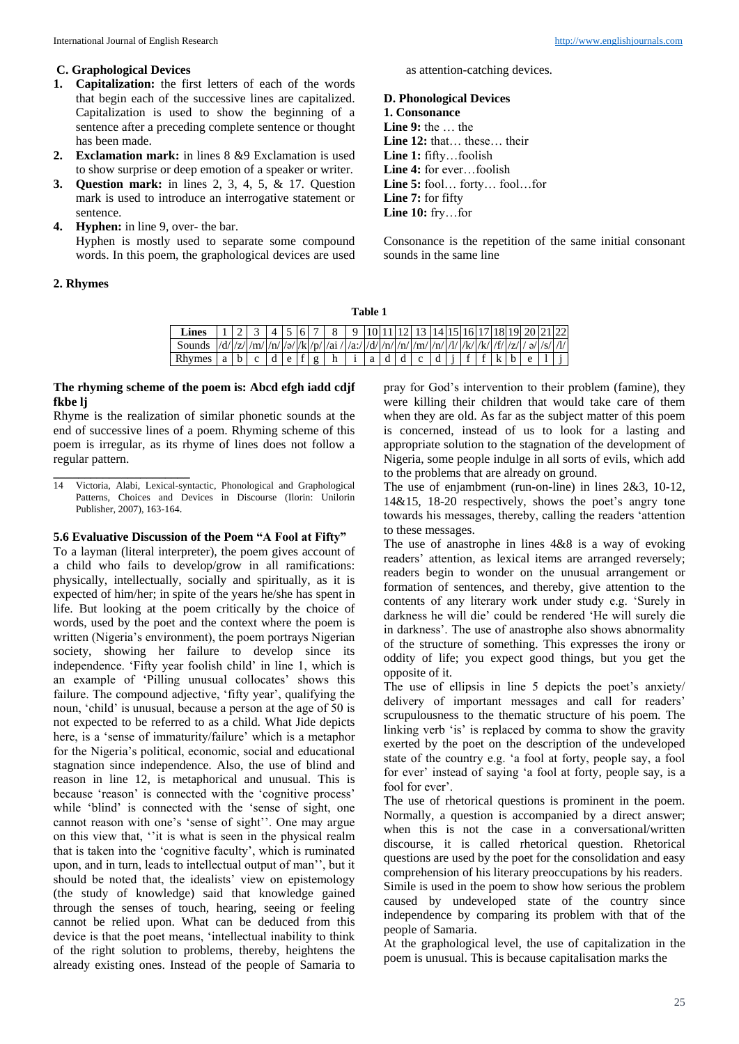# **C. Graphological Devices**

- **1. Capitalization:** the first letters of each of the words that begin each of the successive lines are capitalized. Capitalization is used to show the beginning of a sentence after a preceding complete sentence or thought has been made.
- **2. Exclamation mark:** in lines 8 &9 Exclamation is used to show surprise or deep emotion of a speaker or writer.
- **3. Question mark:** in lines 2, 3, 4, 5, & 17. Question mark is used to introduce an interrogative statement or sentence.
- **4. Hyphen:** in line 9, over- the bar. Hyphen is mostly used to separate some compound words. In this poem, the graphological devices are used

# **2. Rhymes**

as attention-catching devices.

# **D. Phonological Devices**

#### **1. Consonance**

**Line 9:** the … the **Line 12:** that… these… their **Line 1:** fifty…foolish **Line 4:** for ever…foolish **Line 5:** fool… forty… fool…for **Line 7:** for fifty **Line 10:** fry…for

Consonance is the repetition of the same initial consonant sounds in the same line

|                                                                                                |  |  | <b>Lines</b>   1   2   3   4   5   6   7   8   9   10   11   12   13   14   15   16   17   18   19   20   21   22 |  |  |  |  |  |  |  |
|------------------------------------------------------------------------------------------------|--|--|-------------------------------------------------------------------------------------------------------------------|--|--|--|--|--|--|--|
|                                                                                                |  |  |                                                                                                                   |  |  |  |  |  |  |  |
| Rhymes   a   b   c   d   e   f   g   h   i   a   d   d   c   d   j   f   f   k   b   e   1   j |  |  |                                                                                                                   |  |  |  |  |  |  |  |

# **The rhyming scheme of the poem is: Abcd efgh iadd cdjf fkbe lj**

Rhyme is the realization of similar phonetic sounds at the end of successive lines of a poem. Rhyming scheme of this poem is irregular, as its rhyme of lines does not follow a regular pattern.

**\_\_\_\_\_\_\_\_\_\_\_\_\_\_\_\_\_\_\_\_\_\_** 14 Victoria, Alabi, Lexical-syntactic, Phonological and Graphological Patterns, Choices and Devices in Discourse (Ilorin: Unilorin Publisher, 2007), 163-164.

# **5.6 Evaluative Discussion of the Poem "A Fool at Fifty"**

To a layman (literal interpreter), the poem gives account of a child who fails to develop/grow in all ramifications: physically, intellectually, socially and spiritually, as it is expected of him/her; in spite of the years he/she has spent in life. But looking at the poem critically by the choice of words, used by the poet and the context where the poem is written (Nigeria's environment), the poem portrays Nigerian society, showing her failure to develop since its independence. 'Fifty year foolish child' in line 1, which is an example of 'Pilling unusual collocates' shows this failure. The compound adjective, 'fifty year', qualifying the noun, 'child' is unusual, because a person at the age of 50 is not expected to be referred to as a child. What Jide depicts here, is a 'sense of immaturity/failure' which is a metaphor for the Nigeria's political, economic, social and educational stagnation since independence. Also, the use of blind and reason in line 12, is metaphorical and unusual. This is because 'reason' is connected with the 'cognitive process' while 'blind' is connected with the 'sense of sight, one cannot reason with one's 'sense of sight''. One may argue on this view that, ''it is what is seen in the physical realm that is taken into the 'cognitive faculty', which is ruminated upon, and in turn, leads to intellectual output of man'', but it should be noted that, the idealists' view on epistemology (the study of knowledge) said that knowledge gained through the senses of touch, hearing, seeing or feeling cannot be relied upon. What can be deduced from this device is that the poet means, 'intellectual inability to think of the right solution to problems, thereby, heightens the already existing ones. Instead of the people of Samaria to

pray for God's intervention to their problem (famine), they were killing their children that would take care of them when they are old. As far as the subject matter of this poem is concerned, instead of us to look for a lasting and appropriate solution to the stagnation of the development of Nigeria, some people indulge in all sorts of evils, which add to the problems that are already on ground.

The use of enjambment (run-on-line) in lines 2&3, 10-12, 14&15, 18-20 respectively, shows the poet's angry tone towards his messages, thereby, calling the readers 'attention to these messages.

The use of anastrophe in lines 4&8 is a way of evoking readers' attention, as lexical items are arranged reversely; readers begin to wonder on the unusual arrangement or formation of sentences, and thereby, give attention to the contents of any literary work under study e.g. 'Surely in darkness he will die' could be rendered 'He will surely die in darkness'. The use of anastrophe also shows abnormality of the structure of something. This expresses the irony or oddity of life; you expect good things, but you get the opposite of it.

The use of ellipsis in line 5 depicts the poet's anxiety/ delivery of important messages and call for readers' scrupulousness to the thematic structure of his poem. The linking verb 'is' is replaced by comma to show the gravity exerted by the poet on the description of the undeveloped state of the country e.g. 'a fool at forty, people say, a fool for ever' instead of saying 'a fool at forty, people say, is a fool for ever'.

The use of rhetorical questions is prominent in the poem. Normally, a question is accompanied by a direct answer; when this is not the case in a conversational/written discourse, it is called rhetorical question. Rhetorical questions are used by the poet for the consolidation and easy comprehension of his literary preoccupations by his readers. Simile is used in the poem to show how serious the problem caused by undeveloped state of the country since independence by comparing its problem with that of the people of Samaria.

At the graphological level, the use of capitalization in the poem is unusual. This is because capitalisation marks the